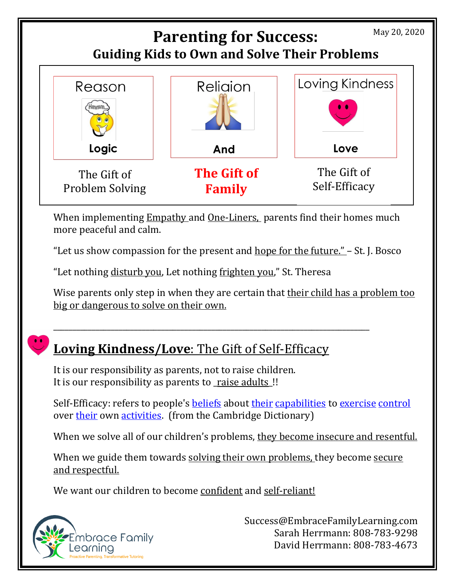

When implementing Empathy and One-Liners, parents find their homes much more peaceful and calm.

"Let us show compassion for the present and hope for the future." – St. J. Bosco

"Let nothing disturb you, Let nothing frighten you," St. Theresa

Wise parents only step in when they are certain that their child has a problem too big or dangerous to solve on their own.

## **Loving Kindness/Love**: The Gift of Self-Efficacy

\_\_\_\_\_\_\_\_\_\_\_\_\_\_\_\_\_\_\_\_\_\_\_\_\_\_\_\_\_\_\_\_\_\_\_\_\_\_\_\_\_\_\_\_\_\_\_\_\_\_\_\_\_\_\_\_\_\_\_\_\_\_\_\_\_\_\_\_\_\_\_\_\_\_\_\_\_\_\_\_\_\_

It is our responsibility as parents, not to raise children. It is our responsibility as parents to raise adults!

Self-Efficacy: refers to people's **beliefs** about [their](https://dictionary.cambridge.org/dictionary/english/their) [capabilities](https://dictionary.cambridge.org/dictionary/english/capability) to [exercise](https://dictionary.cambridge.org/dictionary/english/exercise) [control](https://dictionary.cambridge.org/dictionary/english/control) over [their](https://dictionary.cambridge.org/dictionary/english/their) own [activities.](https://dictionary.cambridge.org/dictionary/english/activity) (from the Cambridge Dictionary)

When we solve all of our children's problems, they become insecure and resentful.

When we guide them towards solving their own problems, they become secure and respectful.

We want our children to become confident and self-reliant!



Success@EmbraceFamilyLearning.com Sarah Herrmann: 808-783-9298 David Herrmann: 808-783-4673